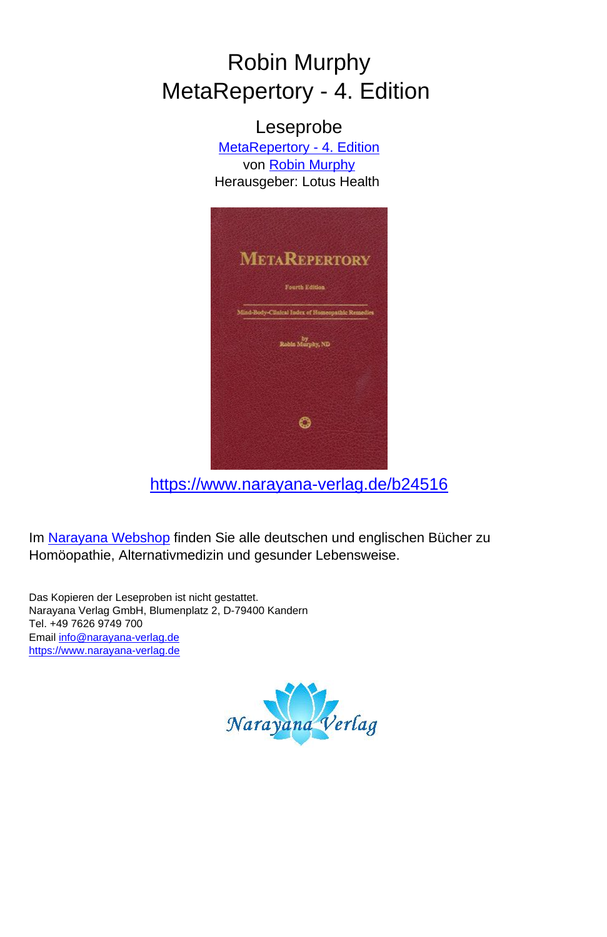# Robin Murphy MetaRepertory - 4. Edition

Leseprobe [MetaRepertory - 4. Edition](https://www.narayana-verlag.de/MetaRepertory-4-Edition-Robin-Murphy/b24516/partner/leseprobe) von [Robin Murphy](https://www.narayana-verlag.de/Robin-Murphy/a592/partner/leseprobe) Herausgeber: Lotus Health



[https://www.narayana-verlag.de/b24516](https://www.narayana-verlag.de/MetaRepertory-4-Edition-Robin-Murphy/b24516/partner/leseprobe)

Im [Narayana Webshop](https://www.narayana-verlag.de/partner/leseprobe) finden Sie alle deutschen und englischen Bücher zu Homöopathie, Alternativmedizin und gesunder Lebensweise.

Das Kopieren der Leseproben ist nicht gestattet. Narayana Verlag GmbH, Blumenplatz 2, D-79400 Kandern Tel. +49 7626 9749 700 Email [info@narayana-verlag.de](mailto:info@narayana-verlag.de) [https://www.narayana-verlag.de](https://www.narayana-verlag.de/partner/leseprobe)

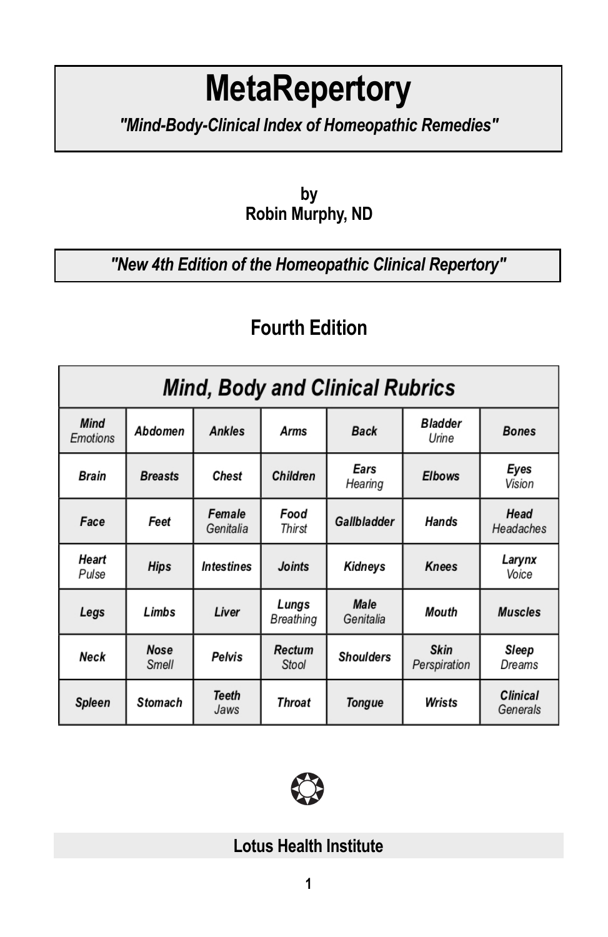# **MetaRepertory**

*"Mind-Body-Clinical Index of Homeopathic Remedies"*

## **by Robin Murphy, ND**

*"New 4th Edition of the Homeopathic Clinical Repertory"*

## **Fourth Edition**

| <b>Mind, Body and Clinical Rubrics</b> |                      |                     |                           |                   |                             |                             |  |
|----------------------------------------|----------------------|---------------------|---------------------------|-------------------|-----------------------------|-----------------------------|--|
| Mind<br>Emotions                       | Abdomen              | Ankles              | Arms                      | <b>Back</b>       | <b>Bladder</b><br>Urine     | Bones                       |  |
| <b>Brain</b>                           | <b>Breasts</b>       | Chest               | Children                  | Ears<br>Hearing   | <b>Elbows</b>               | Eyes<br>Vision              |  |
| Face                                   | Feet                 | Female<br>Genitalia | Food<br><b>Thirst</b>     | Gallbladder       | Hands                       | Head<br><b>Headaches</b>    |  |
| Heart<br>Pulse                         | <b>Hips</b>          | <b>Intestines</b>   | <b>Joints</b>             | Kidneys           | <b>Knees</b>                | Larynx<br>Voice             |  |
| Legs                                   | Limbs                | Liver               | Lungs<br><b>Breathing</b> | Male<br>Genitalia | Mouth                       | <b>Muscles</b>              |  |
| Neck                                   | <b>Nose</b><br>Smell | Pelvis              | Rectum<br>Stool           | <b>Shoulders</b>  | <b>Skin</b><br>Perspiration | Sleep<br>Dreams             |  |
| <b>Spleen</b>                          | Stomach              | Teeth<br>Jaws       | <b>Throat</b>             | Tongue            | Wrists                      | <b>Clinical</b><br>Generals |  |



## **Lotus Health Institute**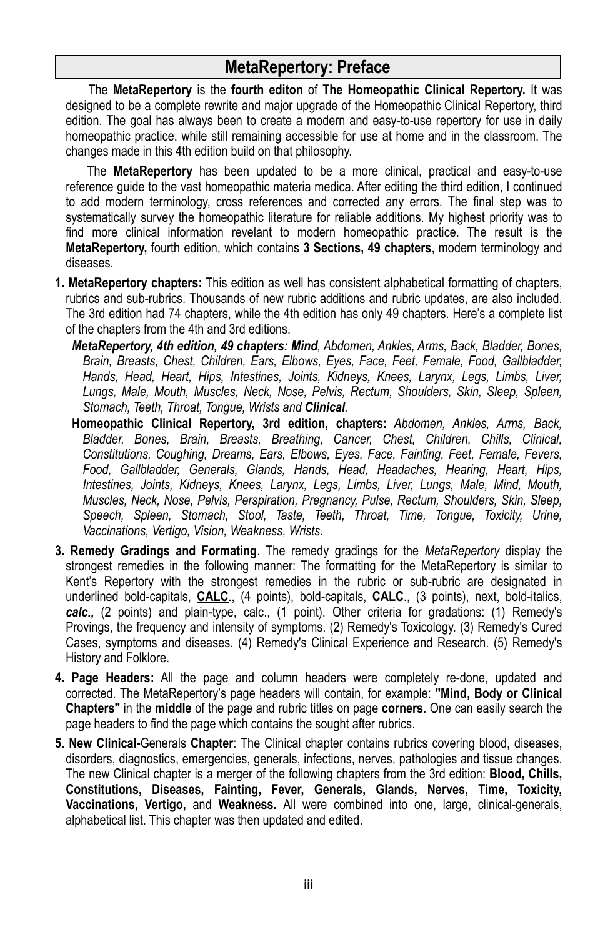## **MetaRepertory: Preface**

 The **MetaRepertory** is the **fourth editon** of **The Homeopathic Clinical Repertory.** It was designed to be a complete rewrite and major upgrade of the Homeopathic Clinical Repertory, third edition. The goal has always been to create a modern and easy-to-use repertory for use in daily homeopathic practice, while still remaining accessible for use at home and in the classroom. The changes made in this 4th edition build on that philosophy.

The **MetaRepertory** has been updated to be a more clinical, practical and easy-to-use reference guide to the vast homeopathic materia medica. After editing the third edition, I continued to add modern terminology, cross references and corrected any errors. The final step was to systematically survey the homeopathic literature for reliable additions. My highest priority was to find more clinical information revelant to modern homeopathic practice. The result is the **MetaRepertory,** fourth edition, which contains **3 Sections, 49 chapters**, modern terminology and diseases.

- **1. MetaRepertory chapters:** This edition as well has consistent alphabetical formatting of chapters, rubrics and sub-rubrics. Thousands of new rubric additions and rubric updates, are also included. The 3rd edition had 74 chapters, while the 4th edition has only 49 chapters. Here's a complete list of the chapters from the 4th and 3rd editions.
	- *MetaRepertory, 4th edition, 49 chapters: Mind, Abdomen, Ankles, Arms, Back, Bladder, Bones, Brain, Breasts, Chest, Children, Ears, Elbows, Eyes, Face, Feet, Female, Food, Gallbladder, Hands, Head, Heart, Hips, Intestines, Joints, Kidneys, Knees, Larynx, Legs, Limbs, Liver, Lungs, Male, Mouth, Muscles, Neck, Nose, Pelvis, Rectum, Shoulders, Skin, Sleep, Spleen, Stomach, Teeth, Throat, Tongue, Wrists and Clinical.*
	- **Homeopathic Clinical Repertory, 3rd edition, chapters:** *Abdomen, Ankles, Arms, Back, Bladder, Bones, Brain, Breasts, Breathing, Cancer, Chest, Children, Chills, Clinical, Constitutions, Coughing, Dreams, Ears, Elbows, Eyes, Face, Fainting, Feet, Female, Fevers, Food, Gallbladder, Generals, Glands, Hands, Head, Headaches, Hearing, Heart, Hips, Intestines, Joints, Kidneys, Knees, Larynx, Legs, Limbs, Liver, Lungs, Male, Mind, Mouth, Muscles, Neck, Nose, Pelvis, Perspiration, Pregnancy, Pulse, Rectum, Shoulders, Skin, Sleep, Speech, Spleen, Stomach, Stool, Taste, Teeth, Throat, Time, Tongue, Toxicity, Urine, Vaccinations, Vertigo, Vision, Weakness, Wrists.*
- **3. Remedy Gradings and Formating**. The remedy gradings for the *MetaRepertory* display the strongest remedies in the following manner: The formatting for the MetaRepertory is similar to Kent's Repertory with the strongest remedies in the rubric or sub-rubric are designated in underlined bold-capitals, **CALC**., (4 points), bold-capitals, **CALC**., (3 points), next, bold-italics, *calc.,* (2 points) and plain-type, calc., (1 point). Other criteria for gradations: (1) Remedy's Provings, the frequency and intensity of symptoms. (2) Remedy's Toxicology. (3) Remedy's Cured Cases, symptoms and diseases. (4) Remedy's Clinical Experience and Research. (5) Remedy's History and Folklore.
- **4. Page Headers:** All the page and column headers were completely re-done, updated and corrected. The MetaRepertory's page headers will contain, for example: **"Mind, Body or Clinical Chapters"** in the **middle** of the page and rubric titles on page **corners**. One can easily search the page headers to find the page which contains the sought after rubrics.
- **5. New Clinical-**Generals **Chapter**: The Clinical chapter contains rubrics covering blood, diseases, disorders, diagnostics, emergencies, generals, infections, nerves, pathologies and tissue changes. The new Clinical chapter is a merger of the following chapters from the 3rd edition: **Blood, Chills, Constitutions, Diseases, Fainting, Fever, Generals, Glands, Nerves, Time, Toxicity, Vaccinations, Vertigo,** and **Weakness.** All were combined into one, large, clinical-generals, alphabetical list. This chapter was then updated and edited.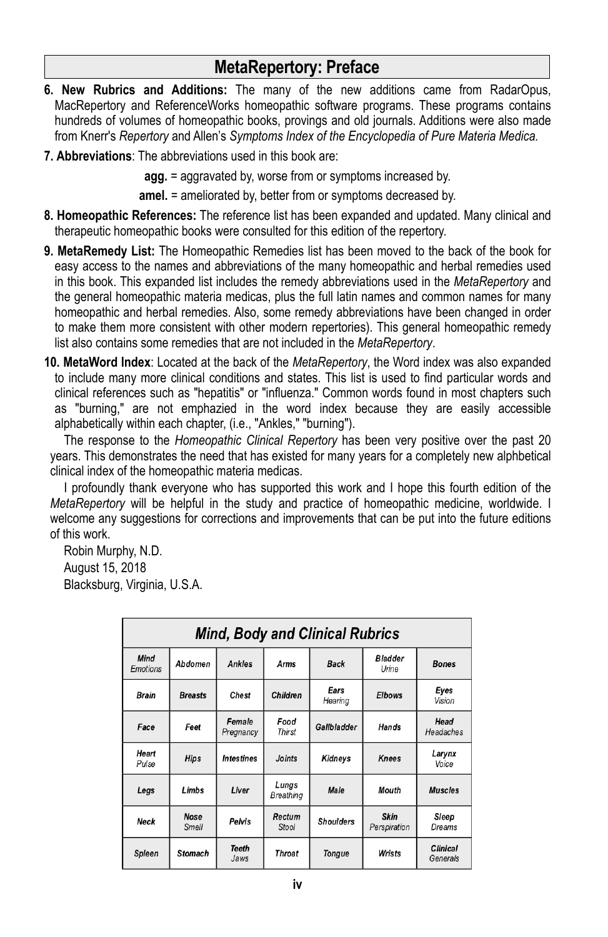## **MetaRepertory: Preface**

- **6. New Rubrics and Additions:** The many of the new additions came from RadarOpus, MacRepertory and ReferenceWorks homeopathic software programs. These programs contains hundreds of volumes of homeopathic books, provings and old journals. Additions were also made from Knerr's *Repertory* and Allen's *Symptoms Index of the Encyclopedia of Pure Materia Medica.*
- **7. Abbreviations**: The abbreviations used in this book are:

**agg.** = aggravated by, worse from or symptoms increased by.

**amel.** = ameliorated by, better from or symptoms decreased by.

- **8. Homeopathic References:** The reference list has been expanded and updated. Many clinical and therapeutic homeopathic books were consulted for this edition of the repertory.
- **9. MetaRemedy List:** The Homeopathic Remedies list has been moved to the back of the book for easy access to the names and abbreviations of the many homeopathic and herbal remedies used in this book. This expanded list includes the remedy abbreviations used in the *MetaRepertory* and the general homeopathic materia medicas, plus the full latin names and common names for many homeopathic and herbal remedies. Also, some remedy abbreviations have been changed in order to make them more consistent with other modern repertories). This general homeopathic remedy list also contains some remedies that are not included in the *MetaRepertory*.
- **10. MetaWord Index**: Located at the back of the *MetaRepertory*, the Word index was also expanded to include many more clinical conditions and states. This list is used to find particular words and clinical references such as "hepatitis" or "influenza." Common words found in most chapters such as "burning," are not emphazied in the word index because they are easily accessible alphabetically within each chapter, (i.e., "Ankles," "burning").

The response to the *Homeopathic Clinical Repertory* has been very positive over the past 20 years. This demonstrates the need that has existed for many years for a completely new alphbetical clinical index of the homeopathic materia medicas.

I profoundly thank everyone who has supported this work and I hope this fourth edition of the *MetaRepertory* will be helpful in the study and practice of homeopathic medicine, worldwide. I welcome any suggestions for corrections and improvements that can be put into the future editions of this work.

Robin Murphy, N.D. August 15, 2018 Blacksburg, Virginia, U.S.A.

| <b>Mind, Body and Clinical Rubrics</b> |                      |                      |                           |                  |                             |                             |  |
|----------------------------------------|----------------------|----------------------|---------------------------|------------------|-----------------------------|-----------------------------|--|
| Mind<br>Emotions                       | Abdomen              | <b>Ankles</b>        | Arms                      | <b>Back</b>      | <b>Bladder</b><br>Urine     | <b>Bones</b>                |  |
| <b>Brain</b>                           | <b>Breasts</b>       | Chest                | <b>Children</b>           | Ears<br>Hearing  | Elbows                      | Eyes<br>Vision              |  |
| Face                                   | Feet                 | Female<br>Pregnancy  | Food<br><b>Thirst</b>     | Gallbladder      | Hands                       | Head<br>Headaches           |  |
| Heart<br>Pulse                         | <b>Hips</b>          | <b>Intestines</b>    | <b>Joints</b>             | Kidneys          | <b>Knees</b>                | Larynx<br>Voice             |  |
| Legs                                   | Limbs                | Liver                | Lungs<br><b>Breathing</b> | Male             | <b>Mouth</b>                | <b>Muscles</b>              |  |
| Neck                                   | <b>Nose</b><br>Smell | Pelvis               | Rectum<br>Stool           | <b>Shoulders</b> | <b>Skin</b><br>Perspiration | Sleep<br>Dreams             |  |
| <b>Spleen</b>                          | <b>Stomach</b>       | <b>Teeth</b><br>Jaws | <b>Throat</b>             | Tongue           | Wrists                      | <b>Clinical</b><br>Generals |  |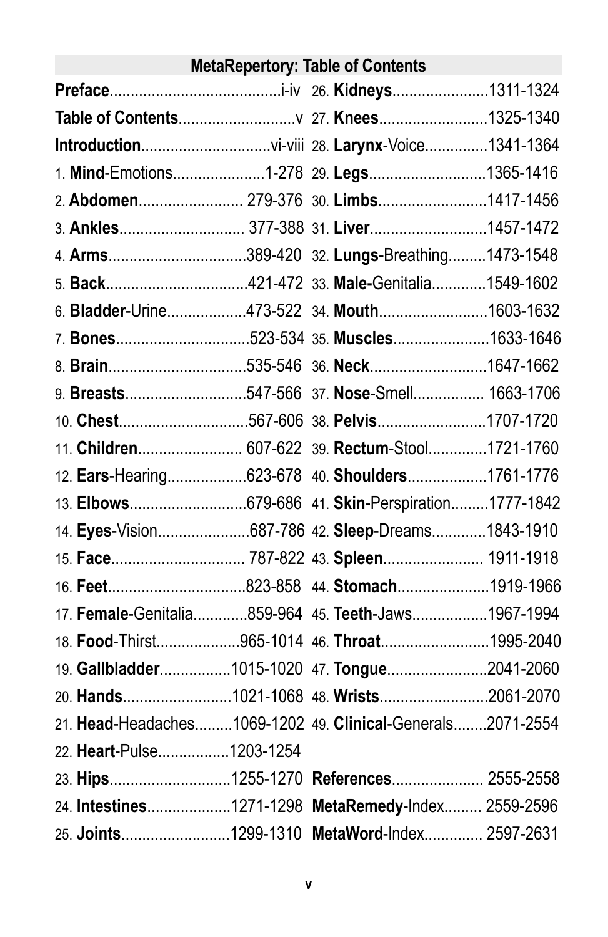| <b>MetaRepertory: Table of Contents</b>                      |  |  |  |  |  |  |  |
|--------------------------------------------------------------|--|--|--|--|--|--|--|
|                                                              |  |  |  |  |  |  |  |
|                                                              |  |  |  |  |  |  |  |
| Introductionvi-viii 28. Larynx-Voice1341-1364                |  |  |  |  |  |  |  |
| 1. Mind-Emotions1-278 29. Legs1365-1416                      |  |  |  |  |  |  |  |
| 2. Abdomen 279-376 30. Limbs1417-1456                        |  |  |  |  |  |  |  |
| 3. Ankles 377-388 31. Liver1457-1472                         |  |  |  |  |  |  |  |
|                                                              |  |  |  |  |  |  |  |
|                                                              |  |  |  |  |  |  |  |
| 6. Bladder-Urine473-522 34. Mouth1603-1632                   |  |  |  |  |  |  |  |
| 7. Bones523-534 35. Muscles1633-1646                         |  |  |  |  |  |  |  |
| 8. Brain535-546 36. Neck1647-1662                            |  |  |  |  |  |  |  |
| 9. Breasts547-566 37. Nose-Smell 1663-1706                   |  |  |  |  |  |  |  |
| 10. Chest567-606 38. Pelvis1707-1720                         |  |  |  |  |  |  |  |
| 11. Children 607-622 39. Rectum-Stool1721-1760               |  |  |  |  |  |  |  |
| 12. Ears-Hearing623-678 40. Shoulders1761-1776               |  |  |  |  |  |  |  |
| 13. Elbows679-686 41. Skin-Perspiration1777-1842             |  |  |  |  |  |  |  |
| 14. Eyes-Vision687-786 42. Sleep-Dreams1843-1910             |  |  |  |  |  |  |  |
| 15. Face 787-822 43. Spleen 1911-1918                        |  |  |  |  |  |  |  |
|                                                              |  |  |  |  |  |  |  |
| 17. Female-Genitalia859-964 45. Teeth-Jaws1967-1994          |  |  |  |  |  |  |  |
| 18. Food-Thirst965-1014 46. Throat1995-2040                  |  |  |  |  |  |  |  |
| 19. Gallbladder1015-1020 47. Tongue2041-2060                 |  |  |  |  |  |  |  |
| 20. Hands1021-1068 48. Wrists2061-2070                       |  |  |  |  |  |  |  |
| 21. Head-Headaches 1069-1202 49. Clinical-Generals 2071-2554 |  |  |  |  |  |  |  |
| 22. Heart-Pulse1203-1254                                     |  |  |  |  |  |  |  |
| 23. Hips1255-1270 References 2555-2558                       |  |  |  |  |  |  |  |
| 24. Intestines1271-1298 MetaRemedy-Index 2559-2596           |  |  |  |  |  |  |  |
| 25. Joints1299-1310 MetaWord-Index 2597-2631                 |  |  |  |  |  |  |  |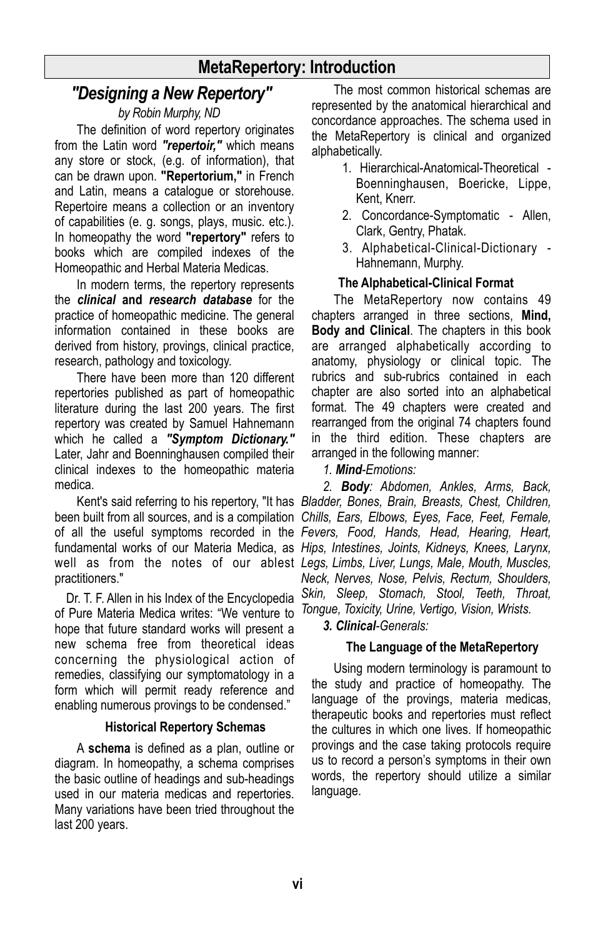## **MetaRepertory: Introduction**

## *"Designing a New Repertory"*

#### *by Robin Murphy, ND*

The definition of word repertory originates from the Latin word *"repertoir,"* which means any store or stock, (e.g. of information), that can be drawn upon. **"Repertorium,"** in French and Latin, means a catalogue or storehouse. Repertoire means a collection or an inventory of capabilities (e. g. songs, plays, music. etc.). In homeopathy the word **"repertory"** refers to books which are compiled indexes of the Homeopathic and Herbal Materia Medicas.

In modern terms, the repertory represents the *clinical* **and** *research database* for the practice of homeopathic medicine. The general information contained in these books are derived from history, provings, clinical practice, research, pathology and toxicology.

There have been more than 120 different repertories published as part of homeopathic literature during the last 200 years. The first repertory was created by Samuel Hahnemann which he called a *"Symptom Dictionary."* Later, Jahr and Boenninghausen compiled their clinical indexes to the homeopathic materia medica.

practitioners."

 Dr. T. F. Allen in his Index of the Encyclopedia of Pure Materia Medica writes: "We venture to hope that future standard works will present a new schema free from theoretical ideas concerning the physiological action of remedies, classifying our symptomatology in a form which will permit ready reference and enabling numerous provings to be condensed."

#### **Historical Repertory Schemas**

A **schema** is defined as a plan, outline or diagram. In homeopathy, a schema comprises the basic outline of headings and sub-headings used in our materia medicas and repertories. Many variations have been tried throughout the last 200 years.

The most common historical schemas are represented by the anatomical hierarchical and concordance approaches. The schema used in the MetaRepertory is clinical and organized alphabetically.

- 1. Hierarchical-Anatomical-Theoretical Boenninghausen, Boericke, Lippe, Kent, Knerr.
- 2. Concordance-Symptomatic Allen, Clark, Gentry, Phatak.
- 3. Alphabetical-Clinical-Dictionary Hahnemann, Murphy.

#### **The Alphabetical-Clinical Format**

The MetaRepertory now contains 49 chapters arranged in three sections, **Mind, Body and Clinical**. The chapters in this book are arranged alphabetically according to anatomy, physiology or clinical topic. The rubrics and sub-rubrics contained in each chapter are also sorted into an alphabetical format. The 49 chapters were created and rearranged from the original 74 chapters found in the third edition. These chapters are arranged in the following manner:

*1. Mind-Emotions:* 

Kent's said referring to his repertory, "It has *Bladder, Bones, Brain, Breasts, Chest, Children,*  been built from all sources, and is a compilation *Chills, Ears, Elbows, Eyes, Face, Feet, Female,*  of all the useful symptoms recorded in the *Fevers, Food, Hands, Head, Hearing, Heart,*  fundamental works of our Materia Medica, as *Hips, Intestines, Joints, Kidneys, Knees, Larynx,*  well as from the notes of our ablest *Legs, Limbs, Liver, Lungs, Male, Mouth, Muscles, 2. Body: Abdomen, Ankles, Arms, Back, Neck, Nerves, Nose, Pelvis, Rectum, Shoulders, Skin, Sleep, Stomach, Stool, Teeth, Throat, Tongue, Toxicity, Urine, Vertigo, Vision, Wrists.* 

*3. Clinical-Generals:*

#### **The Language of the MetaRepertory**

Using modern terminology is paramount to the study and practice of homeopathy. The language of the provings, materia medicas, therapeutic books and repertories must reflect the cultures in which one lives. If homeopathic provings and the case taking protocols require us to record a person's symptoms in their own words, the repertory should utilize a similar language.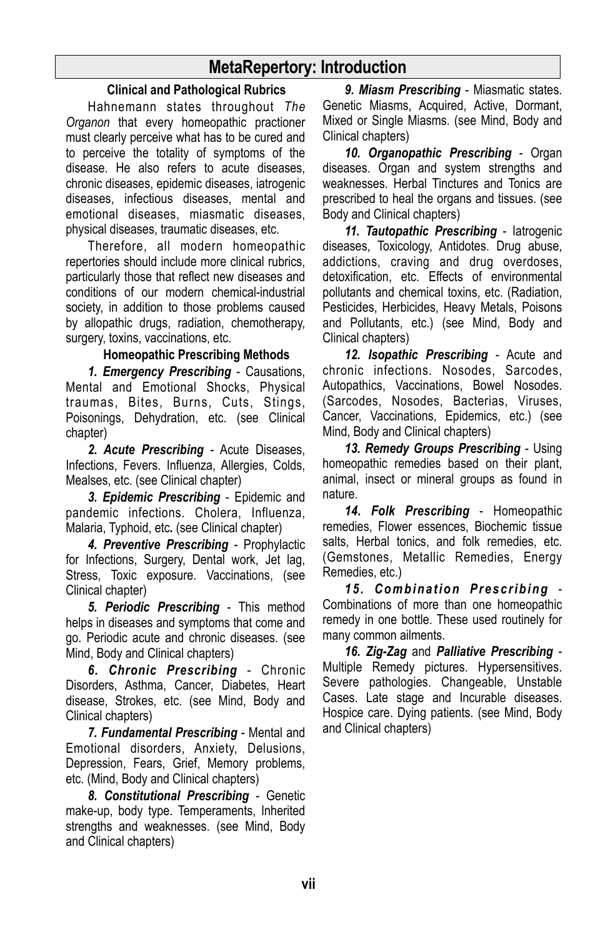#### **MetaRepertory: Introduction**

#### **Clinical and Pathological Rubrics**

Hahnemann states throughout *The Organon* that every homeopathic practioner must clearly perceive what has to be cured and to perceive the totality of symptoms of the disease. He also refers to acute diseases, chronic diseases, epidemic diseases, iatrogenic diseases, infectious diseases, mental and emotional diseases, miasmatic diseases, physical diseases, traumatic diseases, etc.

Therefore, all modern homeopathic repertories should include more clinical rubrics, particularly those that reflect new diseases and conditions of our modern chemical-industrial society, in addition to those problems caused by allopathic drugs, radiation, chemotherapy, surgery, toxins, vaccinations, etc.

#### **Homeopathic Prescribing Methods**

*1. Emergency Prescribing* - Causations, Mental and Emotional Shocks, Physical traumas, Bites, Burns, Cuts, Stings, Poisonings, Dehydration, etc. (see Clinical chapter)

*2. Acute Prescribing* - Acute Diseases, Infections, Fevers. Influenza, Allergies, Colds, Mealses, etc. (see Clinical chapter)

*3. Epidemic Prescribing* - Epidemic and pandemic infections. Cholera, Influenza, Malaria, Typhoid, etc*.* (see Clinical chapter)

*4. Preventive Prescribing* - Prophylactic for Infections, Surgery, Dental work, Jet lag, Stress, Toxic exposure. Vaccinations, (see Clinical chapter)

*5. Periodic Prescribing* - This method helps in diseases and symptoms that come and go. Periodic acute and chronic diseases. (see Mind, Body and Clinical chapters)

*6. Chronic Prescribing* - Chronic Disorders, Asthma, Cancer, Diabetes, Heart disease, Strokes, etc. (see Mind, Body and Clinical chapters)

*7. Fundamental Prescribing* - Mental and Emotional disorders, Anxiety, Delusions, Depression, Fears, Grief, Memory problems, etc. (Mind, Body and Clinical chapters)

*8. Constitutional Prescribing* - Genetic make-up, body type. Temperaments, Inherited strengths and weaknesses. (see Mind, Body and Clinical chapters)

*9. Miasm Prescribing* - Miasmatic states. Genetic Miasms, Acquired, Active, Dormant, Mixed or Single Miasms. (see Mind, Body and Clinical chapters)

*10. Organopathic Prescribing* - Organ diseases. Organ and system strengths and weaknesses. Herbal Tinctures and Tonics are prescribed to heal the organs and tissues. (see Body and Clinical chapters)

*11. Tautopathic Prescribing* - Iatrogenic diseases, Toxicology, Antidotes. Drug abuse, addictions, craving and drug overdoses, detoxification, etc. Effects of environmental pollutants and chemical toxins, etc. (Radiation, Pesticides, Herbicides, Heavy Metals, Poisons and Pollutants, etc.) (see Mind, Body and Clinical chapters)

*12. Isopathic Prescribing* - Acute and chronic infections. Nosodes, Sarcodes, Autopathics, Vaccinations, Bowel Nosodes. (Sarcodes, Nosodes, Bacterias, Viruses, Cancer, Vaccinations, Epidemics, etc.) (see Mind, Body and Clinical chapters)

*13. Remedy Groups Prescribing* - Using homeopathic remedies based on their plant, animal, insect or mineral groups as found in nature.

*14. Folk Prescribing* - Homeopathic remedies, Flower essences, Biochemic tissue salts, Herbal tonics, and folk remedies, etc. (Gemstones, Metallic Remedies, Energy Remedies, etc.)

*15. Combination Prescribing* - Combinations of more than one homeopathic remedy in one bottle. These used routinely for many common ailments.

*16. Zig-Zag* and *Palliative Prescribing* - Multiple Remedy pictures. Hypersensitives. Severe pathologies. Changeable, Unstable Cases. Late stage and Incurable diseases. Hospice care. Dying patients. (see Mind, Body and Clinical chapters)